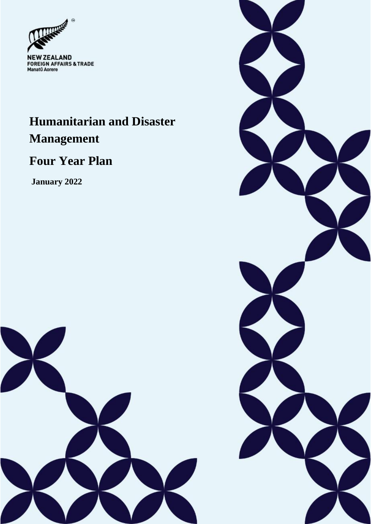

# **Humanitarian and Disaster Management**

# **Four Year Plan**

**January 2022**



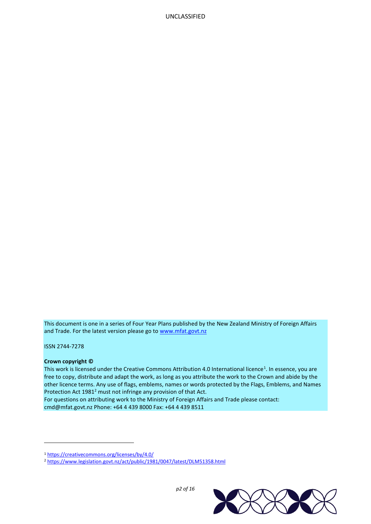This document is one in a series of Four Year Plans published by the New Zealand Ministry of Foreign Affairs and Trade. For the latest version please go t[o www.mfat.govt.nz](http://www.mfat.govt.nz/)

ISSN 2744-7278

l

#### **Crown copyright ©**

This work is licensed under the Creative Commons Attribution 4.0 International licence<sup>1</sup>. In essence, you are free to copy, distribute and adapt the work, as long as you attribute the work to the Crown and abide by the other licence terms. Any use of flags, emblems, names or words protected by the Flags, Emblems, and Names Protection Act 1981<sup>2</sup> must not infringe any provision of that Act.

For questions on attributing work to the Ministry of Foreign Affairs and Trade please contact: cmd@mfat.govt.nz Phone: +64 4 439 8000 Fax: +64 4 439 8511

<sup>2</sup> <https://www.legislation.govt.nz/act/public/1981/0047/latest/DLM51358.html>



*p2 of 16*

<sup>1</sup> <https://creativecommons.org/licenses/by/4.0/>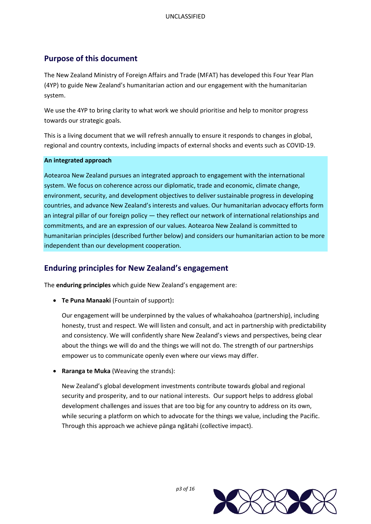# **Purpose of this document**

The New Zealand Ministry of Foreign Affairs and Trade (MFAT) has developed this Four Year Plan (4YP) to guide New Zealand's humanitarian action and our engagement with the humanitarian system.

We use the 4YP to bring clarity to what work we should prioritise and help to monitor progress towards our strategic goals.

This is a living document that we will refresh annually to ensure it responds to changes in global, regional and country contexts, including impacts of external shocks and events such as COVID-19.

#### **An integrated approach**

Aotearoa New Zealand pursues an integrated approach to engagement with the international system. We focus on coherence across our diplomatic, trade and economic, climate change, environment, security, and development objectives to deliver sustainable progress in developing countries, and advance New Zealand's interests and values. Our humanitarian advocacy efforts form an integral pillar of our foreign policy — they reflect our network of international relationships and commitments, and are an expression of our values. Aotearoa New Zealand is committed to humanitarian principles (described further below) and considers our humanitarian action to be more independent than our development cooperation.

# **Enduring principles for New Zealand's engagement**

The **enduring principles** which guide New Zealand's engagement are:

**Te Puna Manaaki** (Fountain of support)**:**

Our engagement will be underpinned by the values of whakahoahoa (partnership), including honesty, trust and respect. We will listen and consult, and act in partnership with predictability and consistency. We will confidently share New Zealand's views and perspectives, being clear about the things we will do and the things we will not do. The strength of our partnerships empower us to communicate openly even where our views may differ.

**Raranga te Muka** (Weaving the strands):

New Zealand's global development investments contribute towards global and regional security and prosperity, and to our national interests. Our support helps to address global development challenges and issues that are too big for any country to address on its own, while securing a platform on which to advocate for the things we value, including the Pacific. Through this approach we achieve pānga ngātahi (collective impact).



*p3 of 16*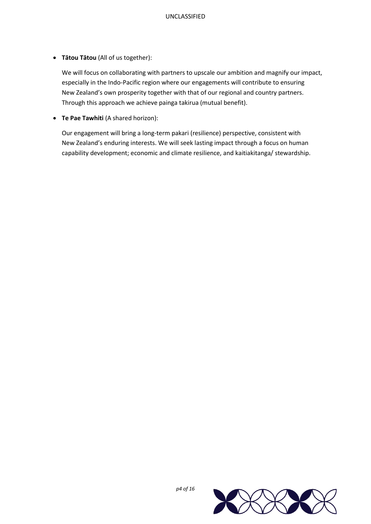**Tātou Tātou** (All of us together):

We will focus on collaborating with partners to upscale our ambition and magnify our impact, especially in the Indo-Pacific region where our engagements will contribute to ensuring New Zealand's own prosperity together with that of our regional and country partners. Through this approach we achieve painga takirua (mutual benefit).

**Te Pae Tawhiti** (A shared horizon):

Our engagement will bring a long-term pakari (resilience) perspective, consistent with New Zealand's enduring interests. We will seek lasting impact through a focus on human capability development; economic and climate resilience, and kaitiakitanga/ stewardship.

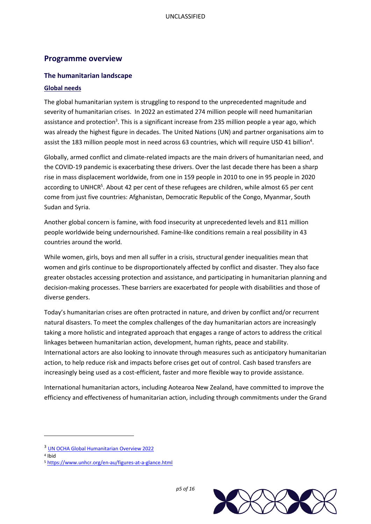## **Programme overview**

#### **The humanitarian landscape**

#### **Global needs**

The global humanitarian system is struggling to respond to the unprecedented magnitude and severity of humanitarian crises. In 2022 an estimated 274 million people will need humanitarian assistance and protection<sup>3</sup>. This is a significant increase from 235 million people a year ago, which was already the highest figure in decades. The United Nations (UN) and partner organisations aim to assist the 183 million people most in need across 63 countries, which will require USD 41 billion<sup>4</sup>.

Globally, armed conflict and climate-related impacts are the main drivers of humanitarian need, and the COVID-19 pandemic is exacerbating these drivers. Over the last decade there has been a sharp rise in mass displacement worldwide, from one in 159 people in 2010 to one in 95 people in 2020 according to UNHCR<sup>5</sup>. About 42 per cent of these refugees are children, while almost 65 per cent come from just five countries: Afghanistan, Democratic Republic of the Congo, Myanmar, South Sudan and Syria.

Another global concern is famine, with food insecurity at unprecedented levels and 811 million people worldwide being undernourished. Famine-like conditions remain a real possibility in 43 countries around the world.

While women, girls, boys and men all suffer in a crisis, structural gender inequalities mean that women and girls continue to be disproportionately affected by conflict and disaster. They also face greater obstacles accessing protection and assistance, and participating in humanitarian planning and decision-making processes. These barriers are exacerbated for people with disabilities and those of diverse genders.

Today's humanitarian crises are often protracted in nature, and driven by conflict and/or recurrent natural disasters. To meet the complex challenges of the day humanitarian actors are increasingly taking a more holistic and integrated approach that engages a range of actors to address the critical linkages between humanitarian action, development, human rights, peace and stability. International actors are also looking to innovate through measures such as anticipatory humanitarian action, to help reduce risk and impacts before crises get out of control. Cash based transfers are increasingly being used as a cost-efficient, faster and more flexible way to provide assistance.

International humanitarian actors, including Aotearoa New Zealand, have committed to improve the efficiency and effectiveness of humanitarian action, including through commitments under the Grand

 $\overline{\phantom{a}}$ 



<sup>&</sup>lt;sup>3</sup> [UN OCHA Global Humanitarian Overview 2022](https://www.unocha.org/sites/unocha/files/Global%20Humanitarian%20Overview%202022.pdf)

<sup>4</sup> Ibid

<sup>5</sup> <https://www.unhcr.org/en-au/figures-at-a-glance.html>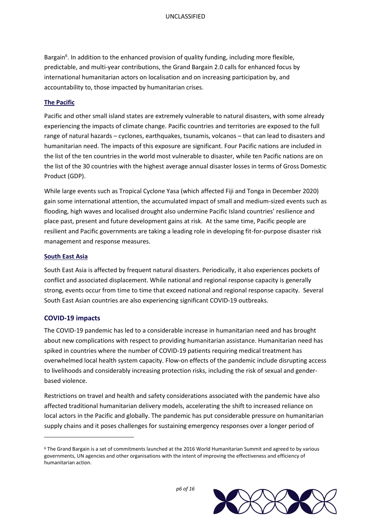Bargain<sup>6</sup>. In addition to the enhanced provision of quality funding, including more flexible, predictable, and multi-year contributions, the Grand Bargain 2.0 calls for enhanced focus by international humanitarian actors on localisation and on increasing participation by, and accountability to, those impacted by humanitarian crises.

#### **The Pacific**

Pacific and other small island states are extremely vulnerable to natural disasters, with some already experiencing the impacts of climate change. Pacific countries and territories are exposed to the full range of natural hazards – cyclones, earthquakes, tsunamis, volcanos – that can lead to disasters and humanitarian need. The impacts of this exposure are significant. Four Pacific nations are included in the list of the ten countries in the world most vulnerable to disaster, while ten Pacific nations are on the list of the 30 countries with the highest average annual disaster losses in terms of Gross Domestic Product (GDP).

While large events such as Tropical Cyclone Yasa (which affected Fiji and Tonga in December 2020) gain some international attention, the accumulated impact of small and medium-sized events such as flooding, high waves and localised drought also undermine Pacific Island countries' resilience and place past, present and future development gains at risk. At the same time, Pacific people are resilient and Pacific governments are taking a leading role in developing fit-for-purpose disaster risk management and response measures.

#### **South East Asia**

South East Asia is affected by frequent natural disasters. Periodically, it also experiences pockets of conflict and associated displacement. While national and regional response capacity is generally strong, events occur from time to time that exceed national and regional response capacity. Several South East Asian countries are also experiencing significant COVID-19 outbreaks.

## **COVID-19 impacts**

 $\overline{a}$ 

The COVID-19 pandemic has led to a considerable increase in humanitarian need and has brought about new complications with respect to providing humanitarian assistance. Humanitarian need has spiked in countries where the number of COVID-19 patients requiring medical treatment has overwhelmed local health system capacity. Flow-on effects of the pandemic include disrupting access to livelihoods and considerably increasing protection risks, including the risk of sexual and genderbased violence.

Restrictions on travel and health and safety considerations associated with the pandemic have also affected traditional humanitarian delivery models, accelerating the shift to increased reliance on local actors in the Pacific and globally. The pandemic has put considerable pressure on humanitarian supply chains and it poses challenges for sustaining emergency responses over a longer period of

<sup>6</sup> The Grand Bargain is a set of commitments launched at the 2016 World Humanitarian Summit and agreed to by various governments, UN agencies and other organisations with the intent of improving the effectiveness and efficiency of humanitarian action.

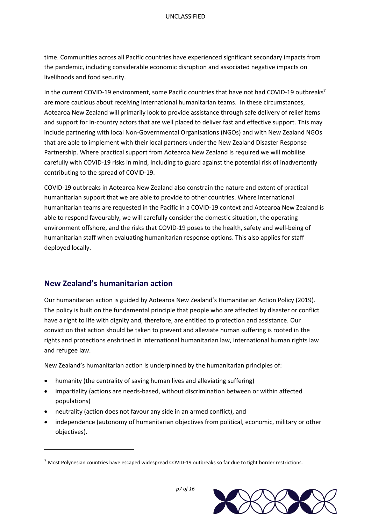time. Communities across all Pacific countries have experienced significant secondary impacts from the pandemic, including considerable economic disruption and associated negative impacts on livelihoods and food security.

In the current COVID-19 environment, some Pacific countries that have not had COVID-19 outbreaks<sup>7</sup> are more cautious about receiving international humanitarian teams. In these circumstances, Aotearoa New Zealand will primarily look to provide assistance through safe delivery of relief items and support for in-country actors that are well placed to deliver fast and effective support. This may include partnering with local Non-Governmental Organisations (NGOs) and with New Zealand NGOs that are able to implement with their local partners under the New Zealand Disaster Response Partnership. Where practical support from Aotearoa New Zealand is required we will mobilise carefully with COVID-19 risks in mind, including to guard against the potential risk of inadvertently contributing to the spread of COVID-19.

COVID-19 outbreaks in Aotearoa New Zealand also constrain the nature and extent of practical humanitarian support that we are able to provide to other countries. Where international humanitarian teams are requested in the Pacific in a COVID-19 context and Aotearoa New Zealand is able to respond favourably, we will carefully consider the domestic situation, the operating environment offshore, and the risks that COVID-19 poses to the health, safety and well-being of humanitarian staff when evaluating humanitarian response options. This also applies for staff deployed locally.

## **New Zealand's humanitarian action**

 $\overline{a}$ 

Our humanitarian action is guided by Aotearoa New Zealand's Humanitarian Action Policy (2019). The policy is built on the fundamental principle that people who are affected by disaster or conflict have a right to life with dignity and, therefore, are entitled to protection and assistance. Our conviction that action should be taken to prevent and alleviate human suffering is rooted in the rights and protections enshrined in international humanitarian law, international human rights law and refugee law.

New Zealand's humanitarian action is underpinned by the humanitarian principles of:

- humanity (the centrality of saving human lives and alleviating suffering)
- impartiality (actions are needs-based, without discrimination between or within affected populations)
- neutrality (action does not favour any side in an armed conflict), and
- independence (autonomy of humanitarian objectives from political, economic, military or other objectives).

 $7$  Most Polynesian countries have escaped widespread COVID-19 outbreaks so far due to tight border restrictions.



*p7 of 16*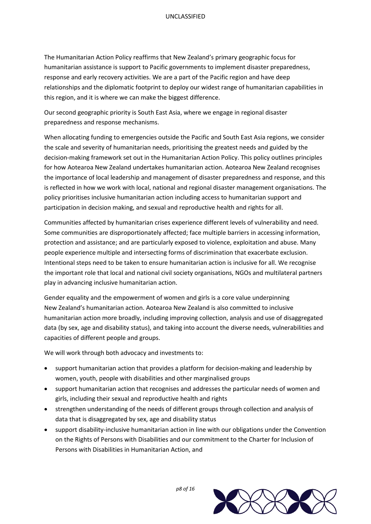The Humanitarian Action Policy reaffirms that New Zealand's primary geographic focus for humanitarian assistance is support to Pacific governments to implement disaster preparedness, response and early recovery activities. We are a part of the Pacific region and have deep relationships and the diplomatic footprint to deploy our widest range of humanitarian capabilities in this region, and it is where we can make the biggest difference.

Our second geographic priority is South East Asia, where we engage in regional disaster preparedness and response mechanisms.

When allocating funding to emergencies outside the Pacific and South East Asia regions, we consider the scale and severity of humanitarian needs, prioritising the greatest needs and guided by the decision-making framework set out in the Humanitarian Action Policy. This policy outlines principles for how Aotearoa New Zealand undertakes humanitarian action. Aotearoa New Zealand recognises the importance of local leadership and management of disaster preparedness and response, and this is reflected in how we work with local, national and regional disaster management organisations. The policy prioritises inclusive humanitarian action including access to humanitarian support and participation in decision making, and sexual and reproductive health and rights for all.

Communities affected by humanitarian crises experience different levels of vulnerability and need. Some communities are disproportionately affected; face multiple barriers in accessing information, protection and assistance; and are particularly exposed to violence, exploitation and abuse. Many people experience multiple and intersecting forms of discrimination that exacerbate exclusion. Intentional steps need to be taken to ensure humanitarian action is inclusive for all. We recognise the important role that local and national civil society organisations, NGOs and multilateral partners play in advancing inclusive humanitarian action.

Gender equality and the empowerment of women and girls is a core value underpinning New Zealand's humanitarian action. Aotearoa New Zealand is also committed to inclusive humanitarian action more broadly, including improving collection, analysis and use of disaggregated data (by sex, age and disability status), and taking into account the diverse needs, vulnerabilities and capacities of different people and groups.

We will work through both advocacy and investments to:

- support humanitarian action that provides a platform for decision-making and leadership by women, youth, people with disabilities and other marginalised groups
- support humanitarian action that recognises and addresses the particular needs of women and girls, including their sexual and reproductive health and rights
- strengthen understanding of the needs of different groups through collection and analysis of data that is disaggregated by sex, age and disability status
- support disability-inclusive humanitarian action in line with our obligations under the Convention on the Rights of Persons with Disabilities and our commitment to the Charter for Inclusion of Persons with Disabilities in Humanitarian Action, and



*p8 of 16*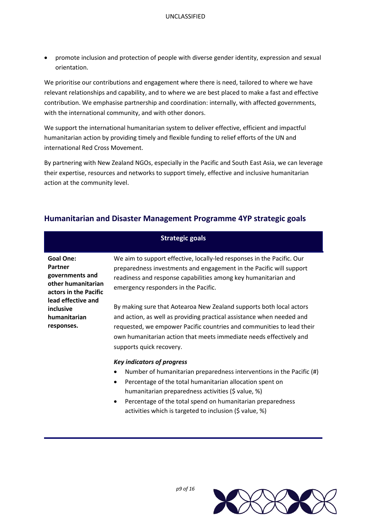promote inclusion and protection of people with diverse gender identity, expression and sexual orientation.

We prioritise our contributions and engagement where there is need, tailored to where we have relevant relationships and capability, and to where we are best placed to make a fast and effective contribution. We emphasise partnership and coordination: internally, with affected governments, with the international community, and with other donors.

We support the international humanitarian system to deliver effective, efficient and impactful humanitarian action by providing timely and flexible funding to relief efforts of the UN and international Red Cross Movement.

By partnering with New Zealand NGOs, especially in the Pacific and South East Asia, we can leverage their expertise, resources and networks to support timely, effective and inclusive humanitarian action at the community level.

# **Humanitarian and Disaster Management Programme 4YP strategic goals**

|                                                                                                                                                                | <b>Strategic goals</b>                                                                                                                                                                                                                                                                                                  |
|----------------------------------------------------------------------------------------------------------------------------------------------------------------|-------------------------------------------------------------------------------------------------------------------------------------------------------------------------------------------------------------------------------------------------------------------------------------------------------------------------|
| <b>Goal One:</b><br>Partner<br>governments and<br>other humanitarian<br>actors in the Pacific<br>lead effective and<br>inclusive<br>humanitarian<br>responses. | We aim to support effective, locally-led responses in the Pacific. Our<br>preparedness investments and engagement in the Pacific will support<br>readiness and response capabilities among key humanitarian and<br>emergency responders in the Pacific.                                                                 |
|                                                                                                                                                                | By making sure that Aotearoa New Zealand supports both local actors<br>and action, as well as providing practical assistance when needed and<br>requested, we empower Pacific countries and communities to lead their<br>own humanitarian action that meets immediate needs effectively and<br>supports quick recovery. |
|                                                                                                                                                                | <b>Key indicators of progress</b><br>Number of humanitarian preparedness interventions in the Pacific (#)<br>Percentage of the total humanitarian allocation spent on<br>$\bullet$<br>humanitarian preparedness activities (\$ value, %)<br>Percentage of the total spend on humanitarian preparedness                  |



*p9 of 16*

activities which is targeted to inclusion (\$ value, %)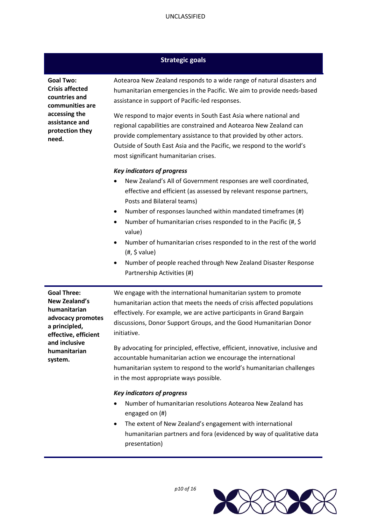## **Strategic goals**

| <b>Goal Two:</b><br><b>Crisis affected</b><br>countries and<br>communities are<br>accessing the<br>assistance and<br>protection they<br>need. | Aotearoa New Zealand responds to a wide range of natural disasters and<br>humanitarian emergencies in the Pacific. We aim to provide needs-based<br>assistance in support of Pacific-led responses.<br>We respond to major events in South East Asia where national and<br>regional capabilities are constrained and Aotearoa New Zealand can<br>provide complementary assistance to that provided by other actors.<br>Outside of South East Asia and the Pacific, we respond to the world's<br>most significant humanitarian crises.                                         |
|-----------------------------------------------------------------------------------------------------------------------------------------------|-------------------------------------------------------------------------------------------------------------------------------------------------------------------------------------------------------------------------------------------------------------------------------------------------------------------------------------------------------------------------------------------------------------------------------------------------------------------------------------------------------------------------------------------------------------------------------|
|                                                                                                                                               | <b>Key indicators of progress</b><br>New Zealand's All of Government responses are well coordinated,<br>effective and efficient (as assessed by relevant response partners,<br>Posts and Bilateral teams)<br>Number of responses launched within mandated timeframes (#)<br>$\bullet$<br>Number of humanitarian crises responded to in the Pacific (#, \$<br>value)<br>Number of humanitarian crises responded to in the rest of the world<br>$\bullet$<br>(#, \$ value)<br>Number of people reached through New Zealand Disaster Response<br>٠<br>Partnership Activities (#) |
| <b>Goal Three:</b><br><b>New Zealand's</b><br>humanitarian<br>advocacy promotes<br>a principled,<br>effective, efficient<br>and inclusive     | We engage with the international humanitarian system to promote<br>humanitarian action that meets the needs of crisis affected populations<br>effectively. For example, we are active participants in Grand Bargain<br>discussions, Donor Support Groups, and the Good Humanitarian Donor<br>initiative.<br>$\mathcal{L}$ , and the set of the set of the set of the set of the set of the set of the set of the set of the set of the set of the set of the set of the set of the set of the set of the set of the set of the set of the set                                 |

By advocating for principled, effective, efficient, innovative, inclusive and accountable humanitarian action we encourage the international humanitarian system to respond to the world's humanitarian challenges in the most appropriate ways possible.

#### *Key indicators of progress*

**humanitarian system.**

- Number of humanitarian resolutions Aotearoa New Zealand has engaged on (#)
- The extent of New Zealand's engagement with international humanitarian partners and fora (evidenced by way of qualitative data presentation)

*p10 of 16*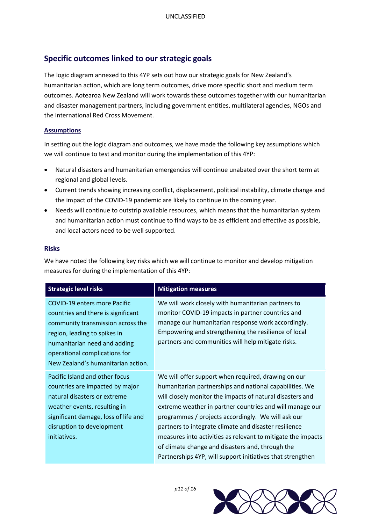# **Specific outcomes linked to our strategic goals**

The logic diagram annexed to this 4YP sets out how our strategic goals for New Zealand's humanitarian action, which are long term outcomes, drive more specific short and medium term outcomes. Aotearoa New Zealand will work towards these outcomes together with our humanitarian and disaster management partners, including government entities, multilateral agencies, NGOs and the international Red Cross Movement.

## **Assumptions**

In setting out the logic diagram and outcomes, we have made the following key assumptions which we will continue to test and monitor during the implementation of this 4YP:

- Natural disasters and humanitarian emergencies will continue unabated over the short term at regional and global levels.
- Current trends showing increasing conflict, displacement, political instability, climate change and the impact of the COVID-19 pandemic are likely to continue in the coming year.
- Needs will continue to outstrip available resources, which means that the humanitarian system and humanitarian action must continue to find ways to be as efficient and effective as possible, and local actors need to be well supported.

#### **Risks**

We have noted the following key risks which we will continue to monitor and develop mitigation measures for during the implementation of this 4YP:

| <b>Strategic level risks</b>                                                                                                                                                                                                                          | <b>Mitigation measures</b>                                                                                                                                                                                                                                                                                                                                                                                                                                                                                                               |
|-------------------------------------------------------------------------------------------------------------------------------------------------------------------------------------------------------------------------------------------------------|------------------------------------------------------------------------------------------------------------------------------------------------------------------------------------------------------------------------------------------------------------------------------------------------------------------------------------------------------------------------------------------------------------------------------------------------------------------------------------------------------------------------------------------|
| <b>COVID-19 enters more Pacific</b><br>countries and there is significant<br>community transmission across the<br>region, leading to spikes in<br>humanitarian need and adding<br>operational complications for<br>New Zealand's humanitarian action. | We will work closely with humanitarian partners to<br>monitor COVID-19 impacts in partner countries and<br>manage our humanitarian response work accordingly.<br>Empowering and strengthening the resilience of local<br>partners and communities will help mitigate risks.                                                                                                                                                                                                                                                              |
| Pacific Island and other focus<br>countries are impacted by major<br>natural disasters or extreme<br>weather events, resulting in<br>significant damage, loss of life and<br>disruption to development<br>initiatives.                                | We will offer support when required, drawing on our<br>humanitarian partnerships and national capabilities. We<br>will closely monitor the impacts of natural disasters and<br>extreme weather in partner countries and will manage our<br>programmes / projects accordingly. We will ask our<br>partners to integrate climate and disaster resilience<br>measures into activities as relevant to mitigate the impacts<br>of climate change and disasters and, through the<br>Partnerships 4YP, will support initiatives that strengthen |



*p11 of 16*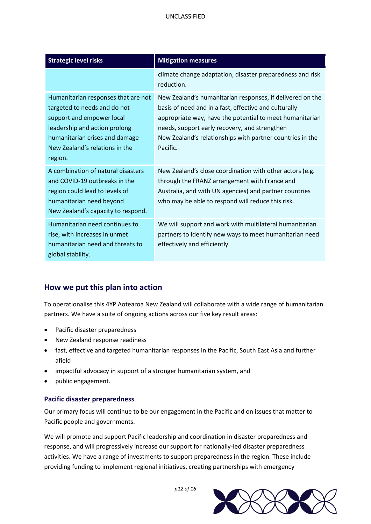| <b>Strategic level risks</b>                                                                                                                                                                                     | <b>Mitigation measures</b>                                                                                                                                                                                                                                                                               |
|------------------------------------------------------------------------------------------------------------------------------------------------------------------------------------------------------------------|----------------------------------------------------------------------------------------------------------------------------------------------------------------------------------------------------------------------------------------------------------------------------------------------------------|
|                                                                                                                                                                                                                  | climate change adaptation, disaster preparedness and risk<br>reduction.                                                                                                                                                                                                                                  |
| Humanitarian responses that are not<br>targeted to needs and do not<br>support and empower local<br>leadership and action prolong<br>humanitarian crises and damage<br>New Zealand's relations in the<br>region. | New Zealand's humanitarian responses, if delivered on the<br>basis of need and in a fast, effective and culturally<br>appropriate way, have the potential to meet humanitarian<br>needs, support early recovery, and strengthen<br>New Zealand's relationships with partner countries in the<br>Pacific. |
| A combination of natural disasters<br>and COVID-19 outbreaks in the<br>region could lead to levels of<br>humanitarian need beyond<br>New Zealand's capacity to respond.                                          | New Zealand's close coordination with other actors (e.g.<br>through the FRANZ arrangement with France and<br>Australia, and with UN agencies) and partner countries<br>who may be able to respond will reduce this risk.                                                                                 |
| Humanitarian need continues to<br>rise, with increases in unmet<br>humanitarian need and threats to<br>global stability.                                                                                         | We will support and work with multilateral humanitarian<br>partners to identify new ways to meet humanitarian need<br>effectively and efficiently.                                                                                                                                                       |

# **How we put this plan into action**

To operationalise this 4YP Aotearoa New Zealand will collaborate with a wide range of humanitarian partners. We have a suite of ongoing actions across our five key result areas:

- Pacific disaster preparedness
- New Zealand response readiness
- fast, effective and targeted humanitarian responses in the Pacific, South East Asia and further afield
- impactful advocacy in support of a stronger humanitarian system, and
- public engagement.

## **Pacific disaster preparedness**

Our primary focus will continue to be our engagement in the Pacific and on issues that matter to Pacific people and governments.

We will promote and support Pacific leadership and coordination in disaster preparedness and response, and will progressively increase our support for nationally-led disaster preparedness activities. We have a range of investments to support preparedness in the region. These include providing funding to implement regional initiatives, creating partnerships with emergency



*p12 of 16*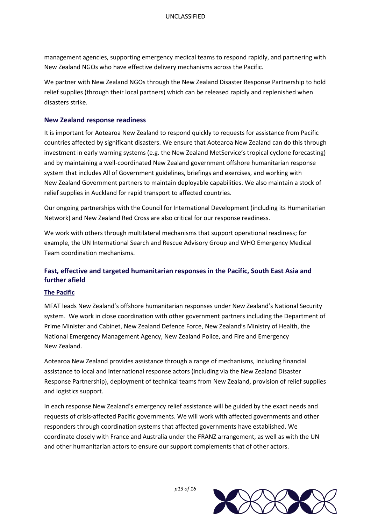management agencies, supporting emergency medical teams to respond rapidly, and partnering with New Zealand NGOs who have effective delivery mechanisms across the Pacific.

We partner with New Zealand NGOs through the New Zealand Disaster Response Partnership to hold relief supplies (through their local partners) which can be released rapidly and replenished when disasters strike.

#### **New Zealand response readiness**

It is important for Aotearoa New Zealand to respond quickly to requests for assistance from Pacific countries affected by significant disasters. We ensure that Aotearoa New Zealand can do this through investment in early warning systems (e.g. the New Zealand MetService's tropical cyclone forecasting) and by maintaining a well-coordinated New Zealand government offshore humanitarian response system that includes All of Government guidelines, briefings and exercises, and working with New Zealand Government partners to maintain deployable capabilities. We also maintain a stock of relief supplies in Auckland for rapid transport to affected countries.

Our ongoing partnerships with the Council for International Development (including its Humanitarian Network) and New Zealand Red Cross are also critical for our response readiness.

We work with others through multilateral mechanisms that support operational readiness; for example, the UN International Search and Rescue Advisory Group and WHO Emergency Medical Team coordination mechanisms.

## **Fast, effective and targeted humanitarian responses in the Pacific, South East Asia and further afield**

#### **The Pacific**

MFAT leads New Zealand's offshore humanitarian responses under New Zealand's National Security system. We work in close coordination with other government partners including the Department of Prime Minister and Cabinet, New Zealand Defence Force, New Zealand's Ministry of Health, the National Emergency Management Agency, New Zealand Police, and Fire and Emergency New Zealand.

Aotearoa New Zealand provides assistance through a range of mechanisms, including financial assistance to local and international response actors (including via the New Zealand Disaster Response Partnership), deployment of technical teams from New Zealand, provision of relief supplies and logistics support.

In each response New Zealand's emergency relief assistance will be guided by the exact needs and requests of crisis-affected Pacific governments. We will work with affected governments and other responders through coordination systems that affected governments have established. We coordinate closely with France and Australia under the FRANZ arrangement, as well as with the UN and other humanitarian actors to ensure our support complements that of other actors.



*p13 of 16*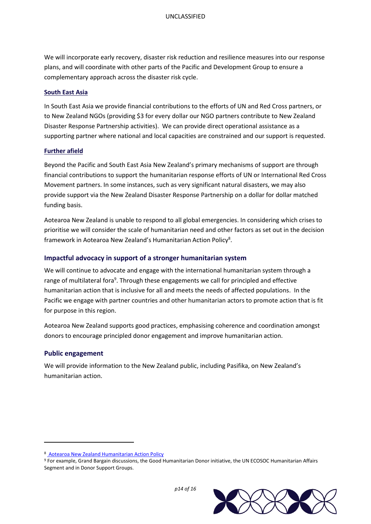We will incorporate early recovery, disaster risk reduction and resilience measures into our response plans, and will coordinate with other parts of the Pacific and Development Group to ensure a complementary approach across the disaster risk cycle.

#### **South East Asia**

In South East Asia we provide financial contributions to the efforts of UN and Red Cross partners, or to New Zealand NGOs (providing \$3 for every dollar our NGO partners contribute to New Zealand Disaster Response Partnership activities). We can provide direct operational assistance as a supporting partner where national and local capacities are constrained and our support is requested.

#### **Further afield**

Beyond the Pacific and South East Asia New Zealand's primary mechanisms of support are through financial contributions to support the humanitarian response efforts of UN or International Red Cross Movement partners. In some instances, such as very significant natural disasters, we may also provide support via the New Zealand Disaster Response Partnership on a dollar for dollar matched funding basis.

Aotearoa New Zealand is unable to respond to all global emergencies. In considering which crises to prioritise we will consider the scale of humanitarian need and other factors as set out in the decision framework in Aotearoa New Zealand's Humanitarian Action Policy<sup>8</sup>.

#### **Impactful advocacy in support of a stronger humanitarian system**

We will continue to advocate and engage with the international humanitarian system through a range of multilateral fora<sup>9</sup>. Through these engagements we call for principled and effective humanitarian action that is inclusive for all and meets the needs of affected populations. In the Pacific we engage with partner countries and other humanitarian actors to promote action that is fit for purpose in this region.

Aotearoa New Zealand supports good practices, emphasising coherence and coordination amongst donors to encourage principled donor engagement and improve humanitarian action.

#### **Public engagement**

 $\overline{\phantom{a}}$ 

We will provide information to the New Zealand public, including Pasifika, on New Zealand's humanitarian action.

<sup>9</sup> For example, Grand Bargain discussions, the Good Humanitarian Donor initiative, the UN ECOSOC Humanitarian Affairs Segment and in Donor Support Groups.



*p14 of 16*

<sup>8</sup> Aotearoa New [Zealand Humanitarian Action Policy](https://www.google.com/url?sa=t&rct=j&q=&esrc=s&source=web&cd=&ved=2ahUKEwiPyNvY8pv1AhXixjgGHc_0D6gQFnoECAwQAw&url=https%3A%2F%2Fwww.mfat.govt.nz%2Fassets%2FAid-Prog-docs%2FPolicy%2FMFAT-Humanitarian-Action-Policy-2019.pdf&usg=AOvVaw1C3VUu5641noXkJiB8pf1B)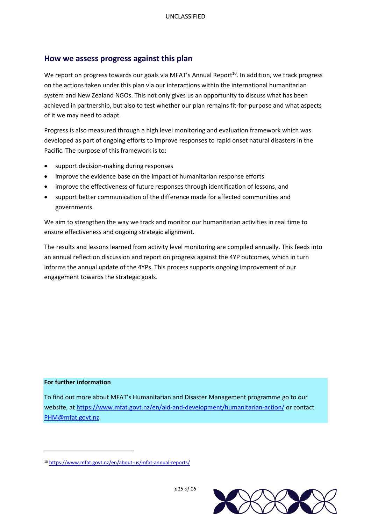# **How we assess progress against this plan**

We report on progress towards our goals via MFAT's Annual Report<sup>10</sup>. In addition, we track progress on the actions taken under this plan via our interactions within the international humanitarian system and New Zealand NGOs. This not only gives us an opportunity to discuss what has been achieved in partnership, but also to test whether our plan remains fit-for-purpose and what aspects of it we may need to adapt.

Progress is also measured through a high level monitoring and evaluation framework which was developed as part of ongoing efforts to improve responses to rapid onset natural disasters in the Pacific. The purpose of this framework is to:

- support decision-making during responses
- improve the evidence base on the impact of humanitarian response efforts
- improve the effectiveness of future responses through identification of lessons, and
- support better communication of the difference made for affected communities and governments.

We aim to strengthen the way we track and monitor our humanitarian activities in real time to ensure effectiveness and ongoing strategic alignment.

The results and lessons learned from activity level monitoring are compiled annually. This feeds into an annual reflection discussion and report on progress against the 4YP outcomes, which in turn informs the annual update of the 4YPs. This process supports ongoing improvement of our engagement towards the strategic goals.

#### **For further information**

 $\overline{\phantom{a}}$ 

To find out more about MFAT's Humanitarian and Disaster Management programme go to our website, a[t https://www.mfat.govt.nz/en/aid-and-development/humanitarian-action/](https://www.mfat.govt.nz/en/aid-and-development/humanitarian-action/) or contact [PHM@mfat.govt.nz.](mailto:PHM@mfat.govt.nz)

<sup>10</sup> <https://www.mfat.govt.nz/en/about-us/mfat-annual-reports/>



*p15 of 16*